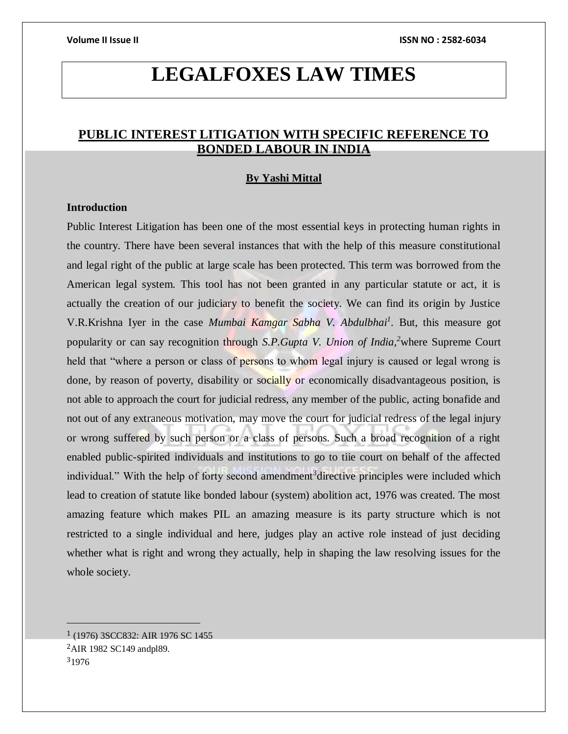# **LEGALFOXES LAW TIMES**

## **PUBLIC INTEREST LITIGATION WITH SPECIFIC REFERENCE TO BONDED LABOUR IN INDIA**

#### **By Yashi Mittal**

### **Introduction**

Public Interest Litigation has been one of the most essential keys in protecting human rights in the country. There have been several instances that with the help of this measure constitutional and legal right of the public at large scale has been protected. This term was borrowed from the American legal system. This tool has not been granted in any particular statute or act, it is actually the creation of our judiciary to benefit the society. We can find its origin by Justice V.R.Krishna Iyer in the case *Mumbai Kamgar Sabha V. Abdulbhai<sup>1</sup> .* But, this measure got popularity or can say recognition through *S.P.Gupta V. Union of India,<sup>2</sup>*where Supreme Court held that "where a person or class of persons to whom legal injury is caused or legal wrong is done, by reason of poverty, disability or socially or economically disadvantageous position, is not able to approach the court for judicial redress, any member of the public, acting bonafide and not out of any extraneous motivation, may move the court for judicial redress of the legal injury or wrong suffered by such person or a class of persons. Such a broad recognition of a right enabled public-spirited individuals and institutions to go to tiie court on behalf of the affected individual." With the help of forty second amendment<sup>3</sup> directive principles were included which lead to creation of statute like bonded labour (system) abolition act, 1976 was created. The most amazing feature which makes PIL an amazing measure is its party structure which is not restricted to a single individual and here, judges play an active role instead of just deciding whether what is right and wrong they actually, help in shaping the law resolving issues for the whole society.

<sup>1</sup> (1976) 3SCC832: AIR 1976 SC 1455 <sup>2</sup>AIR 1982 SC149 andpl89. <sup>3</sup>1976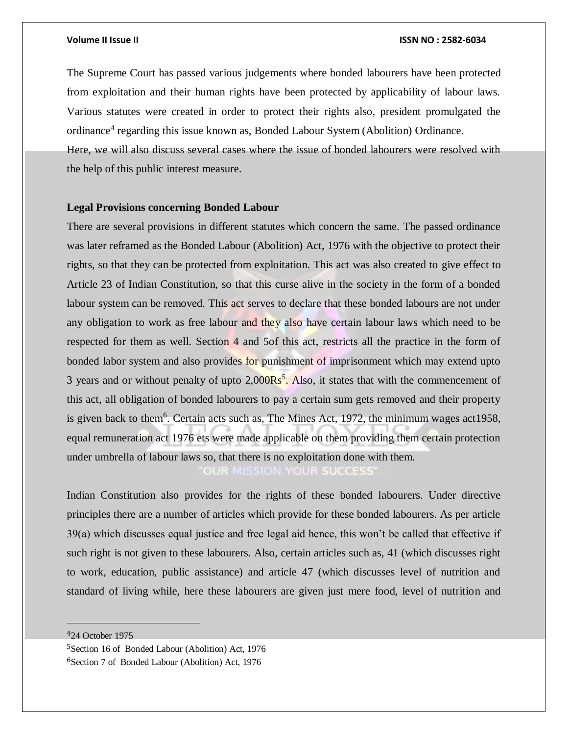The Supreme Court has passed various judgements where bonded labourers have been protected from exploitation and their human rights have been protected by applicability of labour laws. Various statutes were created in order to protect their rights also, president promulgated the ordinance<sup>4</sup> regarding this issue known as, Bonded Labour System (Abolition) Ordinance.

Here, we will also discuss several cases where the issue of bonded labourers were resolved with the help of this public interest measure.

### **Legal Provisions concerning Bonded Labour**

There are several provisions in different statutes which concern the same. The passed ordinance was later reframed as the Bonded Labour (Abolition) Act, 1976 with the objective to protect their rights, so that they can be protected from exploitation. This act was also created to give effect to Article 23 of Indian Constitution, so that this curse alive in the society in the form of a bonded labour system can be removed. This act serves to declare that these bonded labours are not under any obligation to work as free labour and they also have certain labour laws which need to be respected for them as well. Section 4 and 5of this act, restricts all the practice in the form of bonded labor system and also provides for punishment of imprisonment which may extend upto 3 years and or without penalty of upto 2,000Rs<sup>5</sup>. Also, it states that with the commencement of this act, all obligation of bonded labourers to pay a certain sum gets removed and their property is given back to them<sup>6</sup>. Certain acts such as, The Mines Act, 1972, the minimum wages act 1958, equal remuneration act 1976 ets were made applicable on them providing them certain protection under umbrella of labour laws so, that there is no exploitation done with them. OUR MISSION YOUR SUCCESS'

Indian Constitution also provides for the rights of these bonded labourers. Under directive principles there are a number of articles which provide for these bonded labourers. As per article 39(a) which discusses equal justice and free legal aid hence, this won't be called that effective if such right is not given to these labourers. Also, certain articles such as, 41 (which discusses right to work, education, public assistance) and article 47 (which discusses level of nutrition and standard of living while, here these labourers are given just mere food, level of nutrition and

<sup>4</sup>24 October 1975

 $\overline{a}$ 

<sup>5</sup>Section 16 of Bonded Labour (Abolition) Act, 1976 <sup>6</sup>Section 7 of Bonded Labour (Abolition) Act, 1976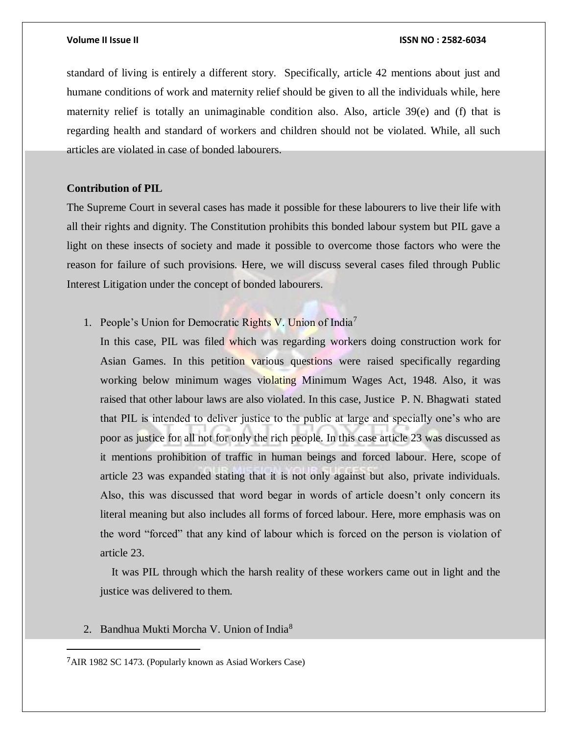standard of living is entirely a different story. Specifically, article 42 mentions about just and humane conditions of work and maternity relief should be given to all the individuals while, here maternity relief is totally an unimaginable condition also. Also, article  $39(e)$  and (f) that is regarding health and standard of workers and children should not be violated. While, all such articles are violated in case of bonded labourers.

### **Contribution of PIL**

The Supreme Court in several cases has made it possible for these labourers to live their life with all their rights and dignity. The Constitution prohibits this bonded labour system but PIL gave a light on these insects of society and made it possible to overcome those factors who were the reason for failure of such provisions. Here, we will discuss several cases filed through Public Interest Litigation under the concept of bonded labourers.

### 1. People's Union for Democratic Rights V. Union of India<sup>7</sup>

In this case, PIL was filed which was regarding workers doing construction work for Asian Games. In this petition various questions were raised specifically regarding working below minimum wages violating Minimum Wages Act, 1948. Also, it was raised that other labour laws are also violated. In this case, Justice P. N. Bhagwati stated that PIL is intended to deliver justice to the public at large and specially one's who are poor as justice for all not for only the rich people. In this case article 23 was discussed as it mentions prohibition of traffic in human beings and forced labour. Here, scope of article 23 was expanded stating that it is not only against but also, private individuals. Also, this was discussed that word begar in words of article doesn't only concern its literal meaning but also includes all forms of forced labour. Here, more emphasis was on the word "forced" that any kind of labour which is forced on the person is violation of article 23.

 It was PIL through which the harsh reality of these workers came out in light and the justice was delivered to them.

#### 2. Bandhua Mukti Morcha V. Union of India<sup>8</sup>

<sup>7</sup>AIR 1982 SC 1473. (Popularly known as Asiad Workers Case)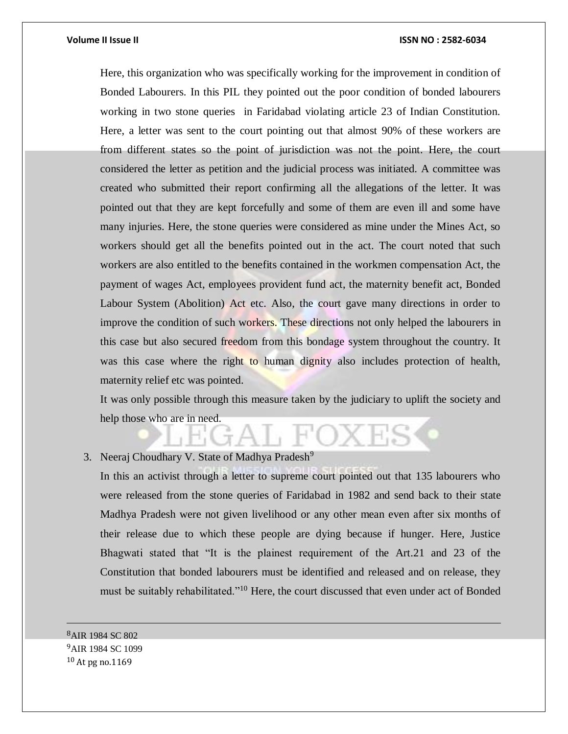Here, this organization who was specifically working for the improvement in condition of Bonded Labourers. In this PIL they pointed out the poor condition of bonded labourers working in two stone queries in Faridabad violating article 23 of Indian Constitution. Here, a letter was sent to the court pointing out that almost 90% of these workers are from different states so the point of jurisdiction was not the point. Here, the court considered the letter as petition and the judicial process was initiated. A committee was created who submitted their report confirming all the allegations of the letter. It was pointed out that they are kept forcefully and some of them are even ill and some have many injuries. Here, the stone queries were considered as mine under the Mines Act, so workers should get all the benefits pointed out in the act. The court noted that such workers are also entitled to the benefits contained in the workmen compensation Act, the payment of wages Act, employees provident fund act, the maternity benefit act, Bonded Labour System (Abolition) Act etc. Also, the court gave many directions in order to improve the condition of such workers. These directions not only helped the labourers in this case but also secured freedom from this bondage system throughout the country. It was this case where the right to human dignity also includes protection of health, maternity relief etc was pointed.

It was only possible through this measure taken by the judiciary to uplift the society and help those who are in need.

3. Neeraj Choudhary V. State of Madhya Pradesh<sup>9</sup>

In this an activist through a letter to supreme court pointed out that 135 labourers who were released from the stone queries of Faridabad in 1982 and send back to their state Madhya Pradesh were not given livelihood or any other mean even after six months of their release due to which these people are dying because if hunger. Here, Justice Bhagwati stated that "It is the plainest requirement of the Art.21 and 23 of the Constitution that bonded labourers must be identified and released and on release, they must be suitably rehabilitated."<sup>10</sup> Here, the court discussed that even under act of Bonded

<sup>8</sup>AIR 1984 SC 802 <sup>9</sup>AIR 1984 SC 1099 <sup>10</sup> At pg no.1169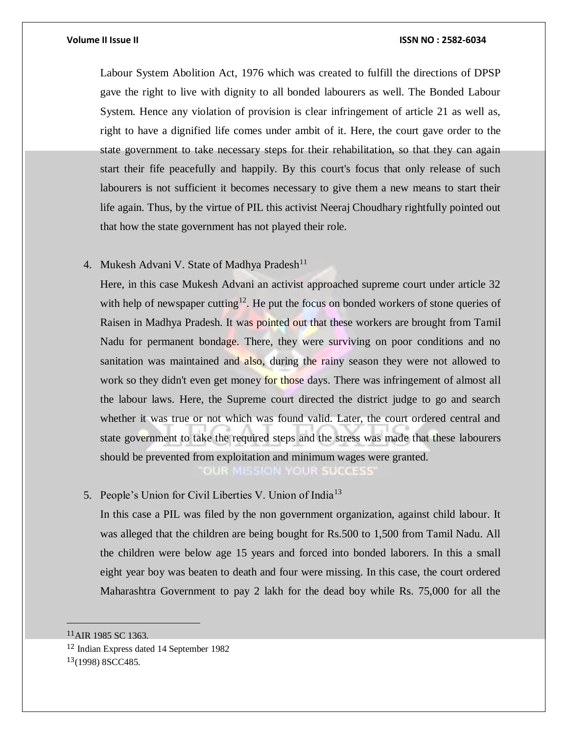Labour System Abolition Act, 1976 which was created to fulfill the directions of DPSP gave the right to live with dignity to all bonded labourers as well. The Bonded Labour System. Hence any violation of provision is clear infringement of article 21 as well as, right to have a dignified life comes under ambit of it. Here, the court gave order to the state government to take necessary steps for their rehabilitation, so that they can again start their fife peacefully and happily. By this court's focus that only release of such labourers is not sufficient it becomes necessary to give them a new means to start their life again. Thus, by the virtue of PIL this activist Neeraj Choudhary rightfully pointed out that how the state government has not played their role.

### 4. Mukesh Advani V. State of Madhya Pradesh<sup>11</sup>

Here, in this case Mukesh Advani an activist approached supreme court under article 32 with help of newspaper cutting<sup>12</sup>. He put the focus on bonded workers of stone queries of Raisen in Madhya Pradesh. It was pointed out that these workers are brought from Tamil Nadu for permanent bondage. There, they were surviving on poor conditions and no sanitation was maintained and also, during the rainy season they were not allowed to work so they didn't even get money for those days. There was infringement of almost all the labour laws. Here, the Supreme court directed the district judge to go and search whether it was true or not which was found valid. Later, the court ordered central and state government to take the required steps and the stress was made that these labourers should be prevented from exploitation and minimum wages were granted. OUR MISSION YOUR SUCCESS'

5. People's Union for Civil Liberties V. Union of India<sup>13</sup>

In this case a PIL was filed by the non government organization, against child labour. It was alleged that the children are being bought for Rs.500 to 1,500 from Tamil Nadu. All the children were below age 15 years and forced into bonded laborers. In this a small eight year boy was beaten to death and four were missing. In this case, the court ordered Maharashtra Government to pay 2 lakh for the dead boy while Rs. 75,000 for all the

<sup>11</sup>AIR 1985 SC 1363.

<sup>12</sup> Indian Express dated 14 September 1982

 $13(1998)$  8SCC485.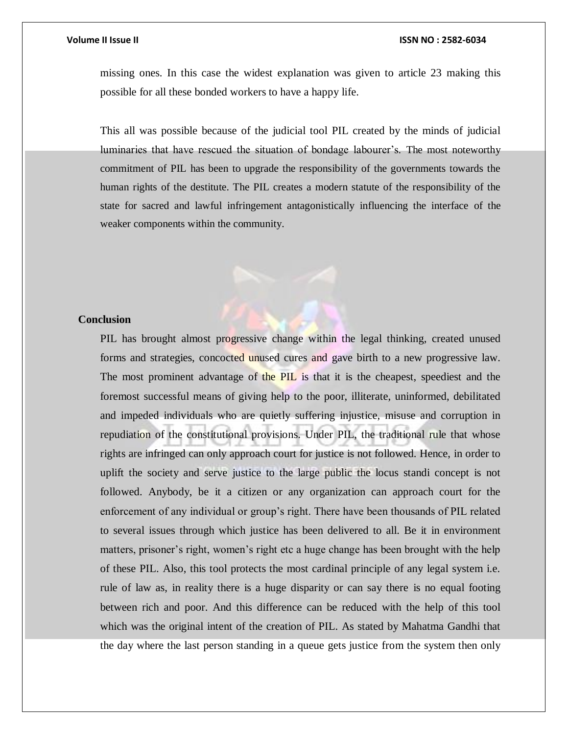missing ones. In this case the widest explanation was given to article 23 making this possible for all these bonded workers to have a happy life.

This all was possible because of the judicial tool PIL created by the minds of judicial luminaries that have rescued the situation of bondage labourer's. The most noteworthy commitment of PIL has been to upgrade the responsibility of the governments towards the human rights of the destitute. The PIL creates a modern statute of the responsibility of the state for sacred and lawful infringement antagonistically influencing the interface of the weaker components within the community.

#### **Conclusion**

PIL has brought almost progressive change within the legal thinking, created unused forms and strategies, concocted unused cures and gave birth to a new progressive law. The most prominent advantage of the PIL is that it is the cheapest, speediest and the foremost successful means of giving help to the poor, illiterate, uninformed, debilitated and impeded individuals who are quietly suffering injustice, misuse and corruption in repudiation of the constitutional provisions. Under PIL, the traditional rule that whose rights are infringed can only approach court for justice is not followed. Hence, in order to uplift the society and serve justice to the large public the locus standi concept is not followed. Anybody, be it a citizen or any organization can approach court for the enforcement of any individual or group's right. There have been thousands of PIL related to several issues through which justice has been delivered to all. Be it in environment matters, prisoner's right, women's right etc a huge change has been brought with the help of these PIL. Also, this tool protects the most cardinal principle of any legal system i.e. rule of law as, in reality there is a huge disparity or can say there is no equal footing between rich and poor. And this difference can be reduced with the help of this tool which was the original intent of the creation of PIL. As stated by Mahatma Gandhi that the day where the last person standing in a queue gets justice from the system then only